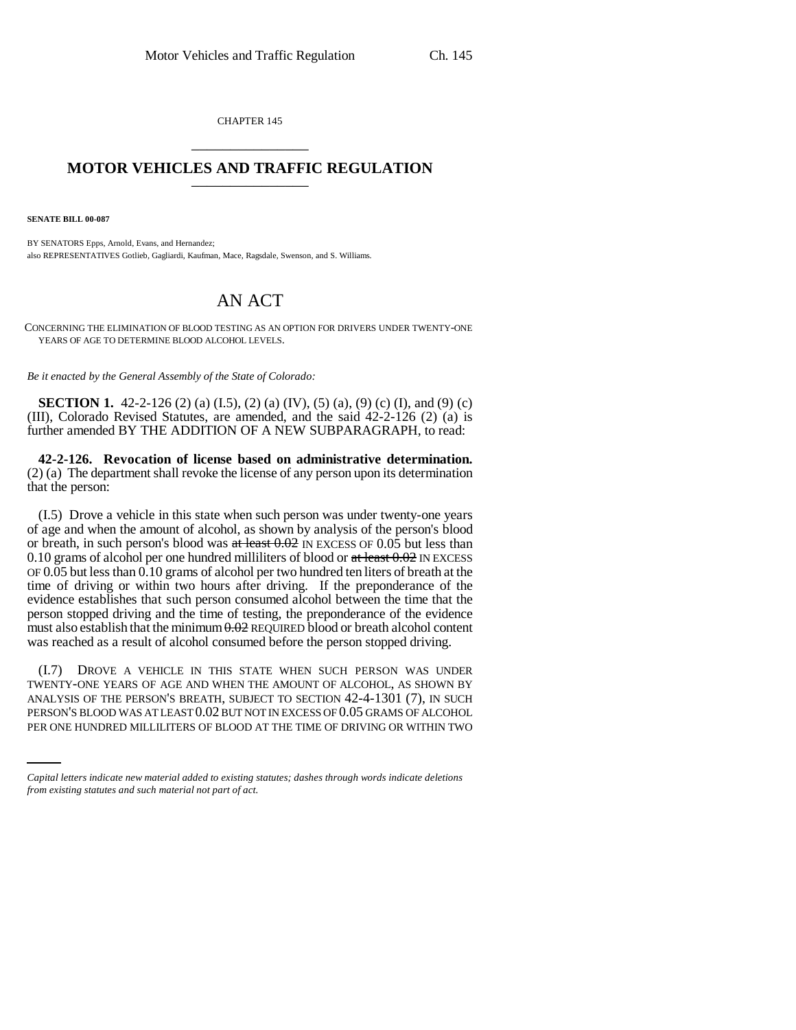CHAPTER 145 \_\_\_\_\_\_\_\_\_\_\_\_\_\_\_

## **MOTOR VEHICLES AND TRAFFIC REGULATION** \_\_\_\_\_\_\_\_\_\_\_\_\_\_\_

**SENATE BILL 00-087** 

BY SENATORS Epps, Arnold, Evans, and Hernandez; also REPRESENTATIVES Gotlieb, Gagliardi, Kaufman, Mace, Ragsdale, Swenson, and S. Williams.

## AN ACT

CONCERNING THE ELIMINATION OF BLOOD TESTING AS AN OPTION FOR DRIVERS UNDER TWENTY-ONE YEARS OF AGE TO DETERMINE BLOOD ALCOHOL LEVELS.

*Be it enacted by the General Assembly of the State of Colorado:*

**SECTION 1.** 42-2-126 (2) (a) (I.5), (2) (a) (IV), (5) (a), (9) (c) (I), and (9) (c) (III), Colorado Revised Statutes, are amended, and the said 42-2-126 (2) (a) is further amended BY THE ADDITION OF A NEW SUBPARAGRAPH, to read:

**42-2-126. Revocation of license based on administrative determination.** (2) (a) The department shall revoke the license of any person upon its determination that the person:

(I.5) Drove a vehicle in this state when such person was under twenty-one years of age and when the amount of alcohol, as shown by analysis of the person's blood or breath, in such person's blood was  $at$  least  $0.02$  IN EXCESS OF  $0.05$  but less than 0.10 grams of alcohol per one hundred milliliters of blood or at least  $0.02$  IN EXCESS OF 0.05 but less than 0.10 grams of alcohol per two hundred ten liters of breath at the time of driving or within two hours after driving. If the preponderance of the evidence establishes that such person consumed alcohol between the time that the person stopped driving and the time of testing, the preponderance of the evidence must also establish that the minimum  $0.02$  REQUIRED blood or breath alcohol content was reached as a result of alcohol consumed before the person stopped driving.

ANALYSIS OF THE PERSON'S BREATH, SUBJECT TO SECTION 42-4-1301 (7), IN SUCH (I.7) DROVE A VEHICLE IN THIS STATE WHEN SUCH PERSON WAS UNDER TWENTY-ONE YEARS OF AGE AND WHEN THE AMOUNT OF ALCOHOL, AS SHOWN BY PERSON'S BLOOD WAS AT LEAST 0.02 BUT NOT IN EXCESS OF 0.05 GRAMS OF ALCOHOL PER ONE HUNDRED MILLILITERS OF BLOOD AT THE TIME OF DRIVING OR WITHIN TWO

*Capital letters indicate new material added to existing statutes; dashes through words indicate deletions from existing statutes and such material not part of act.*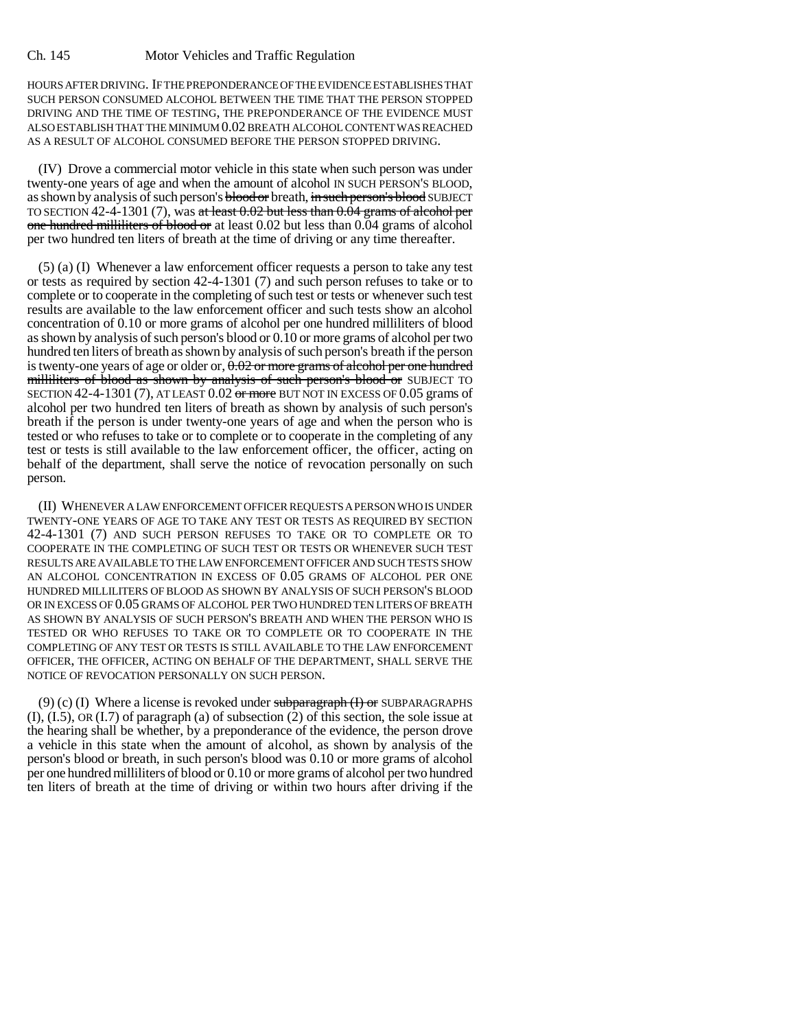HOURS AFTER DRIVING. IF THE PREPONDERANCE OF THE EVIDENCE ESTABLISHES THAT SUCH PERSON CONSUMED ALCOHOL BETWEEN THE TIME THAT THE PERSON STOPPED DRIVING AND THE TIME OF TESTING, THE PREPONDERANCE OF THE EVIDENCE MUST ALSO ESTABLISH THAT THE MINIMUM 0.02 BREATH ALCOHOL CONTENT WAS REACHED AS A RESULT OF ALCOHOL CONSUMED BEFORE THE PERSON STOPPED DRIVING.

(IV) Drove a commercial motor vehicle in this state when such person was under twenty-one years of age and when the amount of alcohol IN SUCH PERSON'S BLOOD, as shown by analysis of such person's **blood or** breath, in such person's blood SUBJECT TO SECTION 42-4-1301 (7), was at least  $0.02$  but less than  $0.04$  grams of alcohol per one hundred milliliters of blood or at least 0.02 but less than 0.04 grams of alcohol per two hundred ten liters of breath at the time of driving or any time thereafter.

(5) (a) (I) Whenever a law enforcement officer requests a person to take any test or tests as required by section 42-4-1301 (7) and such person refuses to take or to complete or to cooperate in the completing of such test or tests or whenever such test results are available to the law enforcement officer and such tests show an alcohol concentration of 0.10 or more grams of alcohol per one hundred milliliters of blood as shown by analysis of such person's blood or 0.10 or more grams of alcohol per two hundred ten liters of breath as shown by analysis of such person's breath if the person is twenty-one years of age or older or,  $0.02$  or more grams of alcohol per one hundred milliliters of blood as shown by analysis of such person's blood or SUBJECT TO SECTION 42-4-1301 (7), AT LEAST  $0.02$  or more BUT NOT IN EXCESS OF  $0.05$  grams of alcohol per two hundred ten liters of breath as shown by analysis of such person's breath if the person is under twenty-one years of age and when the person who is tested or who refuses to take or to complete or to cooperate in the completing of any test or tests is still available to the law enforcement officer, the officer, acting on behalf of the department, shall serve the notice of revocation personally on such person.

(II) WHENEVER A LAW ENFORCEMENT OFFICER REQUESTS A PERSON WHO IS UNDER TWENTY-ONE YEARS OF AGE TO TAKE ANY TEST OR TESTS AS REQUIRED BY SECTION 42-4-1301 (7) AND SUCH PERSON REFUSES TO TAKE OR TO COMPLETE OR TO COOPERATE IN THE COMPLETING OF SUCH TEST OR TESTS OR WHENEVER SUCH TEST RESULTS ARE AVAILABLE TO THE LAW ENFORCEMENT OFFICER AND SUCH TESTS SHOW AN ALCOHOL CONCENTRATION IN EXCESS OF 0.05 GRAMS OF ALCOHOL PER ONE HUNDRED MILLILITERS OF BLOOD AS SHOWN BY ANALYSIS OF SUCH PERSON'S BLOOD OR IN EXCESS OF 0.05 GRAMS OF ALCOHOL PER TWO HUNDRED TEN LITERS OF BREATH AS SHOWN BY ANALYSIS OF SUCH PERSON'S BREATH AND WHEN THE PERSON WHO IS TESTED OR WHO REFUSES TO TAKE OR TO COMPLETE OR TO COOPERATE IN THE COMPLETING OF ANY TEST OR TESTS IS STILL AVAILABLE TO THE LAW ENFORCEMENT OFFICER, THE OFFICER, ACTING ON BEHALF OF THE DEPARTMENT, SHALL SERVE THE NOTICE OF REVOCATION PERSONALLY ON SUCH PERSON.

(9) (c) (I) Where a license is revoked under subparagraph  $(H)$  or SUBPARAGRAPHS (I), (I.5), OR (I.7) of paragraph (a) of subsection (2) of this section, the sole issue at the hearing shall be whether, by a preponderance of the evidence, the person drove a vehicle in this state when the amount of alcohol, as shown by analysis of the person's blood or breath, in such person's blood was 0.10 or more grams of alcohol per one hundred milliliters of blood or 0.10 or more grams of alcohol per two hundred ten liters of breath at the time of driving or within two hours after driving if the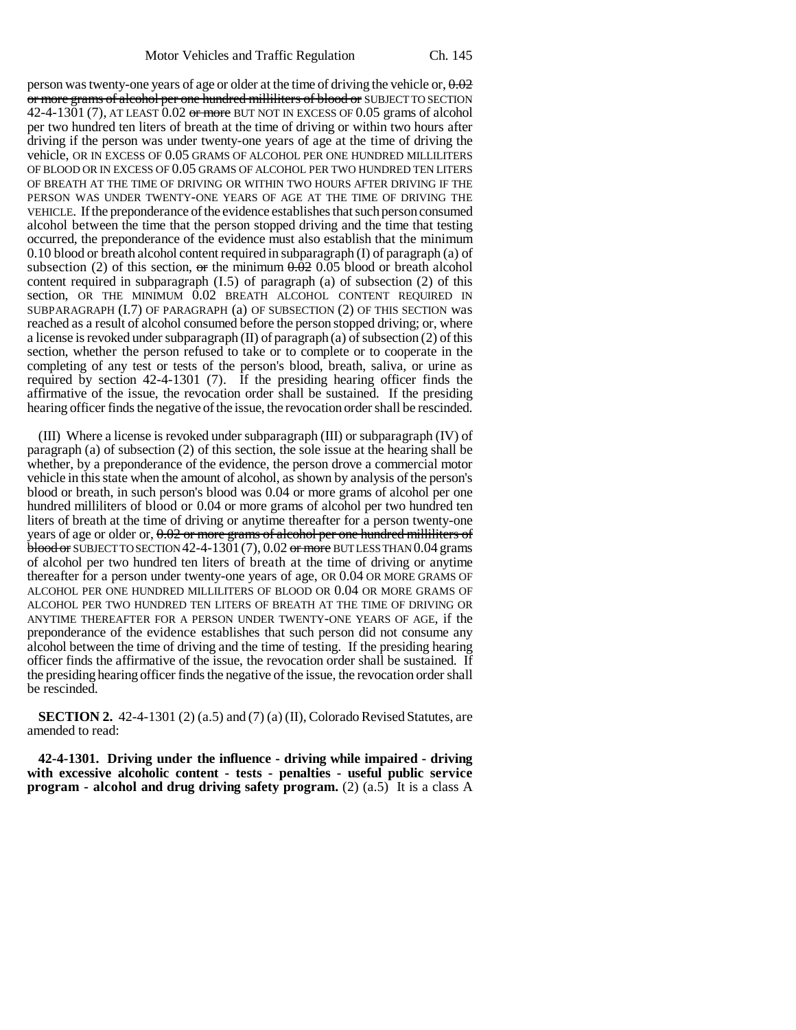person was twenty-one years of age or older at the time of driving the vehicle or,  $0.02$ or more grams of alcohol per one hundred milliliters of blood or SUBJECT TO SECTION 42-4-1301 (7), AT LEAST  $0.02$  or more BUT NOT IN EXCESS OF  $0.05$  grams of alcohol per two hundred ten liters of breath at the time of driving or within two hours after driving if the person was under twenty-one years of age at the time of driving the vehicle, OR IN EXCESS OF 0.05 GRAMS OF ALCOHOL PER ONE HUNDRED MILLILITERS OF BLOOD OR IN EXCESS OF 0.05 GRAMS OF ALCOHOL PER TWO HUNDRED TEN LITERS OF BREATH AT THE TIME OF DRIVING OR WITHIN TWO HOURS AFTER DRIVING IF THE PERSON WAS UNDER TWENTY-ONE YEARS OF AGE AT THE TIME OF DRIVING THE VEHICLE. If the preponderance of the evidence establishes that such person consumed alcohol between the time that the person stopped driving and the time that testing occurred, the preponderance of the evidence must also establish that the minimum 0.10 blood or breath alcohol content required in subparagraph (I) of paragraph (a) of subsection (2) of this section,  $\sigma$ r the minimum  $0.02$  0.05 blood or breath alcohol content required in subparagraph  $(1.5)$  of paragraph  $(a)$  of subsection  $(2)$  of this section, OR THE MINIMUM 0.02 BREATH ALCOHOL CONTENT REQUIRED IN SUBPARAGRAPH (I.7) OF PARAGRAPH (a) OF SUBSECTION (2) OF THIS SECTION was reached as a result of alcohol consumed before the person stopped driving; or, where a license is revoked under subparagraph (II) of paragraph (a) of subsection (2) of this section, whether the person refused to take or to complete or to cooperate in the completing of any test or tests of the person's blood, breath, saliva, or urine as required by section 42-4-1301 (7). If the presiding hearing officer finds the affirmative of the issue, the revocation order shall be sustained. If the presiding hearing officer finds the negative of the issue, the revocation order shall be rescinded.

(III) Where a license is revoked under subparagraph (III) or subparagraph (IV) of paragraph (a) of subsection (2) of this section, the sole issue at the hearing shall be whether, by a preponderance of the evidence, the person drove a commercial motor vehicle in this state when the amount of alcohol, as shown by analysis of the person's blood or breath, in such person's blood was 0.04 or more grams of alcohol per one hundred milliliters of blood or 0.04 or more grams of alcohol per two hundred ten liters of breath at the time of driving or anytime thereafter for a person twenty-one years of age or older or,  $0.02$  or more grams of alcohol per one hundred milliliters of  $b$ blood or SUBJECT TO SECTION 42-4-1301 (7), 0.02 or more BUT LESS THAN 0.04 grams of alcohol per two hundred ten liters of breath at the time of driving or anytime thereafter for a person under twenty-one years of age, OR 0.04 OR MORE GRAMS OF ALCOHOL PER ONE HUNDRED MILLILITERS OF BLOOD OR 0.04 OR MORE GRAMS OF ALCOHOL PER TWO HUNDRED TEN LITERS OF BREATH AT THE TIME OF DRIVING OR ANYTIME THEREAFTER FOR A PERSON UNDER TWENTY-ONE YEARS OF AGE, if the preponderance of the evidence establishes that such person did not consume any alcohol between the time of driving and the time of testing. If the presiding hearing officer finds the affirmative of the issue, the revocation order shall be sustained. If the presiding hearing officer finds the negative of the issue, the revocation order shall be rescinded.

**SECTION 2.** 42-4-1301 (2) (a.5) and (7) (a) (II), Colorado Revised Statutes, are amended to read:

**42-4-1301. Driving under the influence - driving while impaired - driving with excessive alcoholic content - tests - penalties - useful public service program - alcohol and drug driving safety program.** (2) (a.5) It is a class A